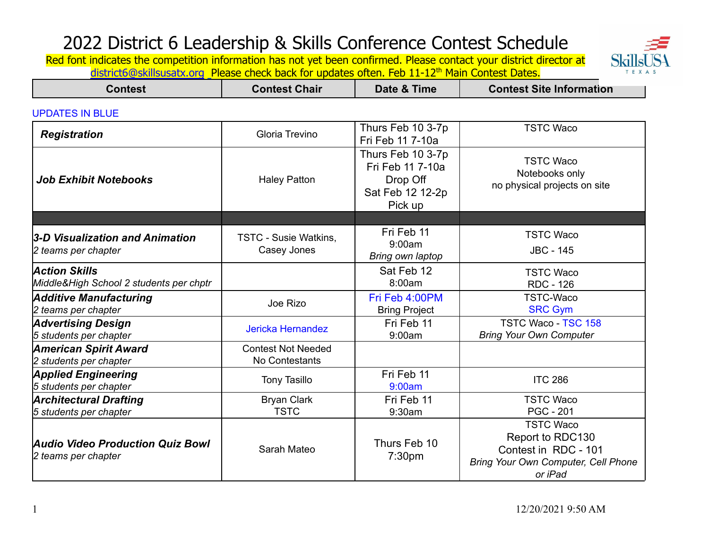

| <b>Contest</b>                                                  | <b>Contest Chair</b>                        | Date & Time                                                                      | <b>Contest Site Information</b>                                                                                       |
|-----------------------------------------------------------------|---------------------------------------------|----------------------------------------------------------------------------------|-----------------------------------------------------------------------------------------------------------------------|
| <b>UPDATES IN BLUE</b>                                          |                                             |                                                                                  |                                                                                                                       |
| <b>Registration</b>                                             | Gloria Trevino                              | Thurs Feb 10 3-7p<br>Fri Feb 11 7-10a                                            | <b>TSTC Waco</b>                                                                                                      |
| <b>Job Exhibit Notebooks</b>                                    | <b>Haley Patton</b>                         | Thurs Feb 10 3-7p<br>Fri Feb 11 7-10a<br>Drop Off<br>Sat Feb 12 12-2p<br>Pick up | <b>TSTC Waco</b><br>Notebooks only<br>no physical projects on site                                                    |
|                                                                 |                                             |                                                                                  |                                                                                                                       |
| 3-D Visualization and Animation<br>2 teams per chapter          | <b>TSTC - Susie Watkins,</b><br>Casey Jones | Fri Feb 11<br>9:00am<br>Bring own laptop                                         | <b>TSTC Waco</b><br><b>JBC - 145</b>                                                                                  |
| <b>Action Skills</b><br>Middle&High School 2 students per chptr |                                             | Sat Feb 12<br>8:00am                                                             | <b>TSTC Waco</b><br><b>RDC - 126</b>                                                                                  |
| <b>Additive Manufacturing</b><br>2 teams per chapter            | Joe Rizo                                    | Fri Feb 4:00PM<br><b>Bring Project</b>                                           | <b>TSTC-Waco</b><br><b>SRC Gym</b>                                                                                    |
| <b>Advertising Design</b><br>5 students per chapter             | <b>Jericka Hernandez</b>                    | Fri Feb 11<br>9:00am                                                             | <b>TSTC Waco - TSC 158</b><br><b>Bring Your Own Computer</b>                                                          |
| <b>American Spirit Award</b><br>2 students per chapter          | <b>Contest Not Needed</b><br>No Contestants |                                                                                  |                                                                                                                       |
| <b>Applied Engineering</b><br>5 students per chapter            | <b>Tony Tasillo</b>                         | Fri Feb 11<br>9:00am                                                             | <b>ITC 286</b>                                                                                                        |
| <b>Architectural Drafting</b><br>5 students per chapter         | <b>Bryan Clark</b><br><b>TSTC</b>           | Fri Feb 11<br>9:30am                                                             | <b>TSTC Waco</b><br><b>PGC - 201</b>                                                                                  |
| <b>Audio Video Production Quiz Bowl</b><br>2 teams per chapter  | Sarah Mateo                                 | Thurs Feb 10<br>7:30 <sub>pm</sub>                                               | <b>TSTC Waco</b><br>Report to RDC130<br>Contest in RDC - 101<br><b>Bring Your Own Computer, Cell Phone</b><br>or iPad |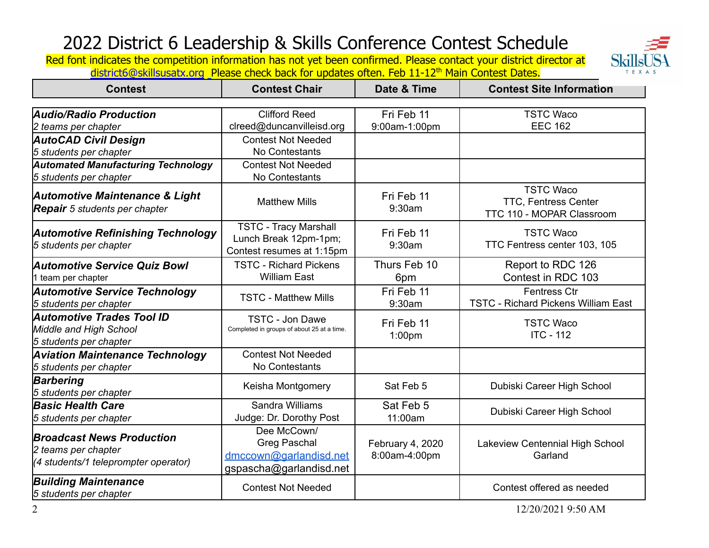**Skills** T E X A S

| <b>Contest</b>                                                                                  | <b>Contest Chair</b>                                                                    | Date & Time                       | <b>Contest Site Information</b>                                              |
|-------------------------------------------------------------------------------------------------|-----------------------------------------------------------------------------------------|-----------------------------------|------------------------------------------------------------------------------|
|                                                                                                 |                                                                                         |                                   |                                                                              |
| Audio/Radio Production                                                                          | <b>Clifford Reed</b>                                                                    | Fri Feb 11                        | <b>TSTC Waco</b>                                                             |
| 2 teams per chapter                                                                             | clreed@duncanvilleisd.org                                                               | 9:00am-1:00pm                     | <b>EEC 162</b>                                                               |
| <b>AutoCAD Civil Design</b>                                                                     | <b>Contest Not Needed</b>                                                               |                                   |                                                                              |
| 5 students per chapter                                                                          | No Contestants                                                                          |                                   |                                                                              |
| <b>Automated Manufacturing Technology</b>                                                       | <b>Contest Not Needed</b>                                                               |                                   |                                                                              |
| 5 students per chapter                                                                          | No Contestants                                                                          |                                   |                                                                              |
| <b>Automotive Maintenance &amp; Light</b><br><b>Repair</b> 5 students per chapter               | <b>Matthew Mills</b>                                                                    | Fri Feb 11<br>9:30am              | <b>TSTC Waco</b><br><b>TTC, Fentress Center</b><br>TTC 110 - MOPAR Classroom |
| <b>Automotive Refinishing Technology</b><br>5 students per chapter                              | <b>TSTC - Tracy Marshall</b><br>Lunch Break 12pm-1pm;<br>Contest resumes at 1:15pm      | Fri Feb 11<br>9:30am              | <b>TSTC Waco</b><br>TTC Fentress center 103, 105                             |
| <b>Automotive Service Quiz Bowl</b><br>I team per chapter                                       | <b>TSTC - Richard Pickens</b><br><b>William East</b>                                    | Thurs Feb 10<br>6pm               | Report to RDC 126<br>Contest in RDC 103                                      |
| <b>Automotive Service Technology</b><br>5 students per chapter                                  | <b>TSTC - Matthew Mills</b>                                                             | Fri Feb 11<br>9:30am              | <b>Fentress Ctr</b><br><b>TSTC - Richard Pickens William East</b>            |
| Automotive Trades Tool ID<br>Middle and High School<br>5 students per chapter                   | <b>TSTC - Jon Dawe</b><br>Completed in groups of about 25 at a time.                    | Fri Feb 11<br>1:00pm              | <b>TSTC Waco</b><br><b>ITC - 112</b>                                         |
| <b>Aviation Maintenance Technology</b><br>5 students per chapter                                | <b>Contest Not Needed</b><br>No Contestants                                             |                                   |                                                                              |
| <b>Barbering</b><br>5 students per chapter                                                      | Keisha Montgomery                                                                       | Sat Feb 5                         | Dubiski Career High School                                                   |
| <b>Basic Health Care</b><br>5 students per chapter                                              | Sandra Williams<br>Judge: Dr. Dorothy Post                                              | Sat Feb 5<br>11:00am              | Dubiski Career High School                                                   |
| <b>Broadcast News Production</b><br>2 teams per chapter<br>(4 students/1 teleprompter operator) | Dee McCown/<br><b>Greg Paschal</b><br>dmccown@garlandisd.net<br>gspascha@garlandisd.net | February 4, 2020<br>8:00am-4:00pm | Lakeview Centennial High School<br>Garland                                   |
| <b>Building Maintenance</b><br>5 students per chapter                                           | <b>Contest Not Needed</b>                                                               |                                   | Contest offered as needed                                                    |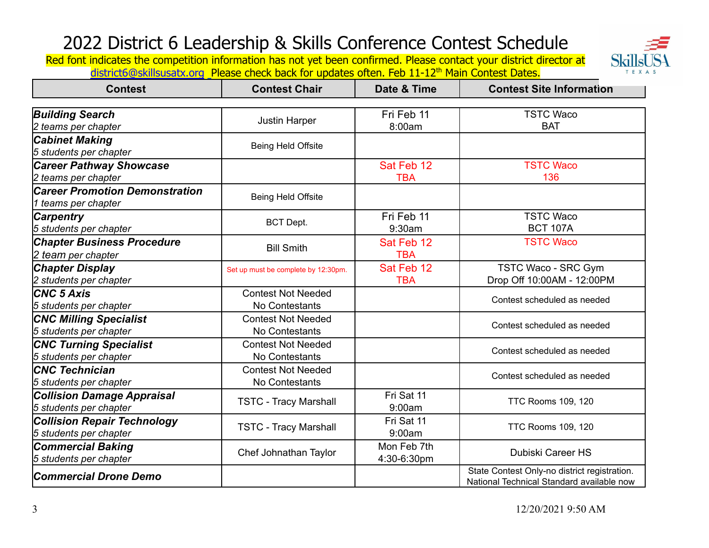**Skillsl** T E X A S

| <b>Contest</b>                        | <b>Contest Chair</b>                | Date & Time | <b>Contest Site Information</b>              |
|---------------------------------------|-------------------------------------|-------------|----------------------------------------------|
|                                       |                                     |             |                                              |
| <b>Building Search</b>                | <b>Justin Harper</b>                | Fri Feb 11  | <b>TSTC Waco</b>                             |
| 2 teams per chapter                   |                                     | 8:00am      | <b>BAT</b>                                   |
| <b>Cabinet Making</b>                 | Being Held Offsite                  |             |                                              |
| 5 students per chapter                |                                     |             |                                              |
| <b>Career Pathway Showcase</b>        |                                     | Sat Feb 12  | <b>TSTC Waco</b>                             |
| 2 teams per chapter                   |                                     | <b>TBA</b>  | 136                                          |
| <b>Career Promotion Demonstration</b> |                                     |             |                                              |
| 1 teams per chapter                   | <b>Being Held Offsite</b>           |             |                                              |
| <b>Carpentry</b>                      |                                     | Fri Feb 11  | <b>TSTC Waco</b>                             |
| 5 students per chapter                | <b>BCT Dept.</b>                    | 9:30am      | <b>BCT 107A</b>                              |
| <b>Chapter Business Procedure</b>     |                                     | Sat Feb 12  | <b>TSTC Waco</b>                             |
| 2 team per chapter                    | <b>Bill Smith</b>                   | <b>TBA</b>  |                                              |
| <b>Chapter Display</b>                | Set up must be complete by 12:30pm. | Sat Feb 12  | TSTC Waco - SRC Gym                          |
| 2 students per chapter                |                                     | <b>TBA</b>  | Drop Off 10:00AM - 12:00PM                   |
| <b>CNC 5 Axis</b>                     | <b>Contest Not Needed</b>           |             |                                              |
| 5 students per chapter                | No Contestants                      |             | Contest scheduled as needed                  |
| <b>CNC Milling Specialist</b>         | <b>Contest Not Needed</b>           |             | Contest scheduled as needed                  |
| 5 students per chapter                | No Contestants                      |             |                                              |
| <b>CNC Turning Specialist</b>         | <b>Contest Not Needed</b>           |             | Contest scheduled as needed                  |
| 5 students per chapter                | No Contestants                      |             |                                              |
| <b>CNC Technician</b>                 | <b>Contest Not Needed</b>           |             | Contest scheduled as needed                  |
| 5 students per chapter                | No Contestants                      |             |                                              |
| <b>Collision Damage Appraisal</b>     | <b>TSTC - Tracy Marshall</b>        | Fri Sat 11  | <b>TTC Rooms 109, 120</b>                    |
| 5 students per chapter                |                                     | 9:00am      |                                              |
| <b>Collision Repair Technology</b>    | <b>TSTC - Tracy Marshall</b>        | Fri Sat 11  | <b>TTC Rooms 109, 120</b>                    |
| 5 students per chapter                |                                     | 9:00am      |                                              |
| <b>Commercial Baking</b>              | Chef Johnathan Taylor               | Mon Feb 7th | <b>Dubiski Career HS</b>                     |
| 5 students per chapter                |                                     | 4:30-6:30pm |                                              |
| <b>Commercial Drone Demo</b>          |                                     |             | State Contest Only-no district registration. |
|                                       |                                     |             | National Technical Standard available now    |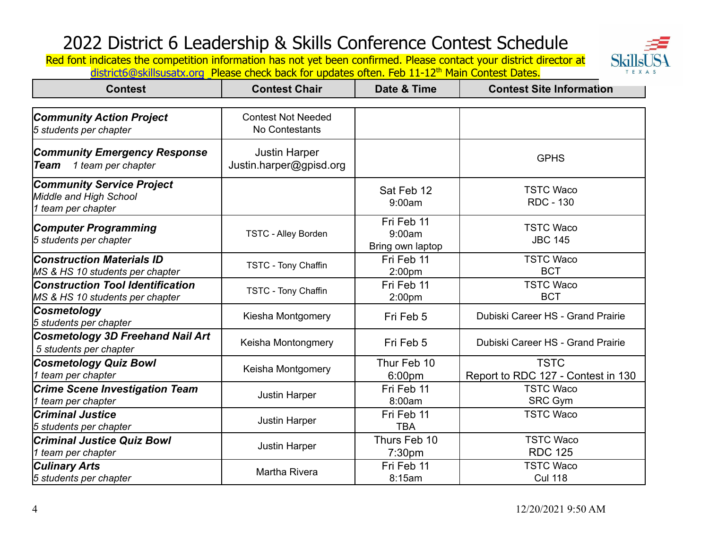

| <b>Contest</b>                                                      | <b>Contest Chair</b>                        | Date & Time                    | <b>Contest Site Information</b>    |
|---------------------------------------------------------------------|---------------------------------------------|--------------------------------|------------------------------------|
|                                                                     |                                             |                                |                                    |
| <b>Community Action Project</b>                                     | <b>Contest Not Needed</b><br>No Contestants |                                |                                    |
| 5 students per chapter                                              |                                             |                                |                                    |
| <b>Community Emergency Response</b>                                 | <b>Justin Harper</b>                        |                                | <b>GPHS</b>                        |
| 1 team per chapter<br><b>Team</b>                                   | Justin.harper@gpisd.org                     |                                |                                    |
| <b>Community Service Project</b>                                    |                                             | Sat Feb 12                     | <b>TSTC Waco</b>                   |
| Middle and High School                                              |                                             | 9:00am                         | <b>RDC - 130</b>                   |
| 1 team per chapter                                                  |                                             |                                |                                    |
| <b>Computer Programming</b>                                         |                                             | Fri Feb 11                     | <b>TSTC Waco</b>                   |
| 5 students per chapter                                              | <b>TSTC - Alley Borden</b>                  | 9:00am                         | <b>JBC 145</b>                     |
|                                                                     |                                             | Bring own laptop<br>Fri Feb 11 | <b>TSTC Waco</b>                   |
| <b>Construction Materials ID</b><br>MS & HS 10 students per chapter | TSTC - Tony Chaffin                         | 2:00 <sub>pm</sub>             | <b>BCT</b>                         |
| Construction Tool Identification                                    |                                             | Fri Feb 11                     | <b>TSTC Waco</b>                   |
| MS & HS 10 students per chapter                                     | TSTC - Tony Chaffin                         | 2:00pm                         | <b>BCT</b>                         |
| <b>Cosmetology</b>                                                  |                                             |                                | Dubiski Career HS - Grand Prairie  |
| 5 students per chapter                                              | Kiesha Montgomery                           | Fri Feb 5                      |                                    |
| <b>Cosmetology 3D Freehand Nail Art</b>                             | Keisha Montongmery                          | Fri Feb 5                      | Dubiski Career HS - Grand Prairie  |
| 5 students per chapter                                              |                                             |                                |                                    |
| <b>Cosmetology Quiz Bowl</b>                                        | Keisha Montgomery                           | Thur Feb 10                    | <b>TSTC</b>                        |
| team per chapter                                                    |                                             | 6:00pm                         | Report to RDC 127 - Contest in 130 |
| <b>Crime Scene Investigation Team</b>                               | <b>Justin Harper</b>                        | Fri Feb 11                     | <b>TSTC Waco</b>                   |
| team per chapter                                                    |                                             | 8:00am                         | <b>SRC Gym</b>                     |
| <b>Criminal Justice</b>                                             | <b>Justin Harper</b>                        | Fri Feb 11                     | <b>TSTC Waco</b>                   |
| 5 students per chapter                                              |                                             | <b>TBA</b>                     |                                    |
| Criminal Justice Quiz Bowl                                          | <b>Justin Harper</b>                        | Thurs Feb 10                   | <b>TSTC Waco</b>                   |
| team per chapter                                                    |                                             | 7:30pm                         | <b>RDC 125</b>                     |
| <b>Culinary Arts</b>                                                | Martha Rivera                               | Fri Feb 11                     | <b>TSTC Waco</b>                   |
| 5 students per chapter                                              |                                             | 8:15am                         | <b>Cul 118</b>                     |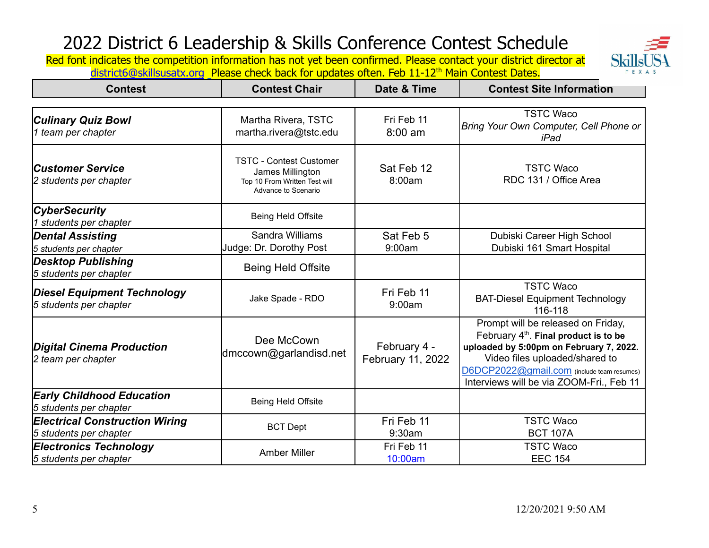**Skills** TEXAS

| <b>Contest</b>                                                  | <b>Contest Chair</b>                                                                                       | Date & Time                       | <b>Contest Site Information</b>                                                                                                                                                                                                                      |
|-----------------------------------------------------------------|------------------------------------------------------------------------------------------------------------|-----------------------------------|------------------------------------------------------------------------------------------------------------------------------------------------------------------------------------------------------------------------------------------------------|
|                                                                 |                                                                                                            |                                   |                                                                                                                                                                                                                                                      |
| Culinary Quiz Bowl<br>1 team per chapter                        | Martha Rivera, TSTC<br>martha.rivera@tstc.edu                                                              | Fri Feb 11<br>$8:00$ am           | <b>TSTC Waco</b><br>Bring Your Own Computer, Cell Phone or<br>iPad                                                                                                                                                                                   |
| <b>Customer Service</b><br>2 students per chapter               | <b>TSTC - Contest Customer</b><br>James Millington<br>Top 10 From Written Test will<br>Advance to Scenario | Sat Feb 12<br>8:00am              | <b>TSTC Waco</b><br>RDC 131 / Office Area                                                                                                                                                                                                            |
| <b>CyberSecurity</b><br>students per chapter                    | Being Held Offsite                                                                                         |                                   |                                                                                                                                                                                                                                                      |
| <b>Dental Assisting</b><br>5 students per chapter               | Sandra Williams<br>Judge: Dr. Dorothy Post                                                                 | Sat Feb 5<br>9:00am               | Dubiski Career High School<br>Dubiski 161 Smart Hospital                                                                                                                                                                                             |
| <b>Desktop Publishing</b><br>5 students per chapter             | <b>Being Held Offsite</b>                                                                                  |                                   |                                                                                                                                                                                                                                                      |
| <b>Diesel Equipment Technology</b><br>5 students per chapter    | Jake Spade - RDO                                                                                           | Fri Feb 11<br>9:00am              | <b>TSTC Waco</b><br><b>BAT-Diesel Equipment Technology</b><br>116-118                                                                                                                                                                                |
| <b>Digital Cinema Production</b><br>2 team per chapter          | Dee McCown<br>dmccown@garlandisd.net                                                                       | February 4 -<br>February 11, 2022 | Prompt will be released on Friday,<br>February $4th$ . Final product is to be<br>uploaded by 5:00pm on February 7, 2022.<br>Video files uploaded/shared to<br>D6DCP2022@gmail.com (include team resumes)<br>Interviews will be via ZOOM-Fri., Feb 11 |
| <b>Early Childhood Education</b><br>5 students per chapter      | Being Held Offsite                                                                                         |                                   |                                                                                                                                                                                                                                                      |
| <b>Electrical Construction Wiring</b><br>5 students per chapter | <b>BCT Dept</b>                                                                                            | Fri Feb 11<br>9:30am              | <b>TSTC Waco</b><br><b>BCT 107A</b>                                                                                                                                                                                                                  |
| <b>Electronics Technology</b><br>5 students per chapter         | <b>Amber Miller</b>                                                                                        | Fri Feb 11<br>10:00am             | <b>TSTC Waco</b><br><b>EEC 154</b>                                                                                                                                                                                                                   |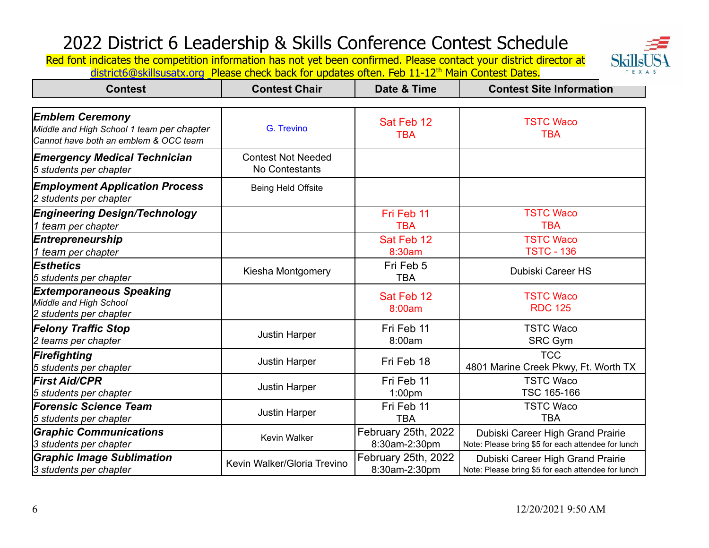Skillsl T E X A S

| <b>Contest</b>                                                                                               | <b>Contest Chair</b>                        | Date & Time              | <b>Contest Site Information</b>                    |
|--------------------------------------------------------------------------------------------------------------|---------------------------------------------|--------------------------|----------------------------------------------------|
| <b>Emblem Ceremony</b><br>Middle and High School 1 team per chapter<br>Cannot have both an emblem & OCC team | G. Trevino                                  | Sat Feb 12<br><b>TBA</b> | <b>TSTC Waco</b><br><b>TBA</b>                     |
| <b>Emergency Medical Technician</b><br>5 students per chapter                                                | <b>Contest Not Needed</b><br>No Contestants |                          |                                                    |
| <b>Employment Application Process</b><br>2 students per chapter                                              | Being Held Offsite                          |                          |                                                    |
| <b>Engineering Design/Technology</b>                                                                         |                                             | Fri Feb 11               | <b>TSTC Waco</b>                                   |
| 1 team per chapter                                                                                           |                                             | <b>TBA</b>               | <b>TBA</b>                                         |
| Entrepreneurship                                                                                             |                                             | Sat Feb 12               | <b>TSTC Waco</b>                                   |
| 1 team per chapter                                                                                           |                                             | 8:30am                   | <b>TSTC - 136</b>                                  |
| <b>Esthetics</b><br>5 students per chapter                                                                   | Kiesha Montgomery                           | Fri Feb 5<br><b>TBA</b>  | Dubiski Career HS                                  |
| <b>Extemporaneous Speaking</b><br>Middle and High School<br>2 students per chapter                           |                                             | Sat Feb 12<br>8:00am     | <b>TSTC Waco</b><br><b>RDC 125</b>                 |
| <b>Felony Traffic Stop</b>                                                                                   | <b>Justin Harper</b>                        | Fri Feb 11               | <b>TSTC Waco</b>                                   |
| 2 teams per chapter                                                                                          |                                             | 8:00am                   | <b>SRC Gym</b>                                     |
| Firefighting<br>5 students per chapter                                                                       | <b>Justin Harper</b>                        | Fri Feb 18               | <b>TCC</b><br>4801 Marine Creek Pkwy, Ft. Worth TX |
| <b>First Aid/CPR</b>                                                                                         | <b>Justin Harper</b>                        | Fri Feb 11               | <b>TSTC Waco</b>                                   |
| 5 students per chapter                                                                                       |                                             | 1:00pm                   | TSC 165-166                                        |
| <b>Forensic Science Team</b>                                                                                 | <b>Justin Harper</b>                        | Fri Feb 11               | <b>TSTC Waco</b>                                   |
| 5 students per chapter                                                                                       |                                             | <b>TBA</b>               | <b>TBA</b>                                         |
| <b>Graphic Communications</b>                                                                                | Kevin Walker                                | February 25th, 2022      | Dubiski Career High Grand Prairie                  |
| 3 students per chapter                                                                                       |                                             | 8:30am-2:30pm            | Note: Please bring \$5 for each attendee for lunch |
| <b>Graphic Image Sublimation</b>                                                                             | Kevin Walker/Gloria Trevino                 | February 25th, 2022      | Dubiski Career High Grand Prairie                  |
| 3 students per chapter                                                                                       |                                             | 8:30am-2:30pm            | Note: Please bring \$5 for each attendee for lunch |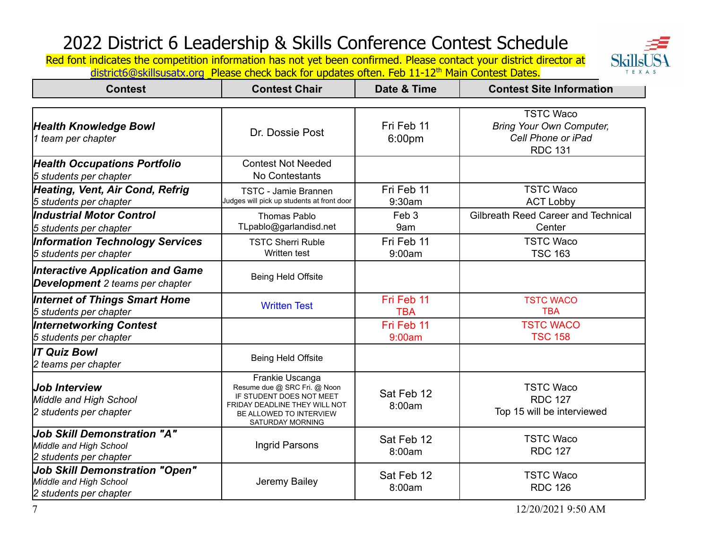**Skills** T E X A S

| <b>Contest</b>                                                                            | <b>Contest Chair</b>                                                                                                                                        | Date & Time              | <b>Contest Site Information</b>                                                             |
|-------------------------------------------------------------------------------------------|-------------------------------------------------------------------------------------------------------------------------------------------------------------|--------------------------|---------------------------------------------------------------------------------------------|
|                                                                                           |                                                                                                                                                             |                          |                                                                                             |
| <b>Health Knowledge Bowl</b><br>1 team per chapter                                        | Dr. Dossie Post                                                                                                                                             | Fri Feb 11<br>6:00pm     | <b>TSTC Waco</b><br><b>Bring Your Own Computer,</b><br>Cell Phone or iPad<br><b>RDC 131</b> |
| <b>Health Occupations Portfolio</b><br>5 students per chapter                             | <b>Contest Not Needed</b><br>No Contestants                                                                                                                 |                          |                                                                                             |
| <b>Heating, Vent, Air Cond, Refrig</b><br>5 students per chapter                          | TSTC - Jamie Brannen<br>Judges will pick up students at front door                                                                                          | Fri Feb 11<br>9:30am     | <b>TSTC Waco</b><br><b>ACT Lobby</b>                                                        |
| <b>Industrial Motor Control</b><br>5 students per chapter                                 | <b>Thomas Pablo</b><br>TLpablo@garlandisd.net                                                                                                               | Feb <sub>3</sub><br>9am  | Gilbreath Reed Career and Technical<br>Center                                               |
| <b>Information Technology Services</b><br>5 students per chapter                          | <b>TSTC Sherri Ruble</b><br>Written test                                                                                                                    | Fri Feb 11<br>9:00am     | <b>TSTC Waco</b><br><b>TSC 163</b>                                                          |
| <b>Interactive Application and Game</b><br><b>Development</b> 2 teams per chapter         | <b>Being Held Offsite</b>                                                                                                                                   |                          |                                                                                             |
| Internet of Things Smart Home<br>5 students per chapter                                   | <b>Written Test</b>                                                                                                                                         | Fri Feb 11<br><b>TBA</b> | <b>TSTC WACO</b><br><b>TBA</b>                                                              |
| <b>Internetworking Contest</b><br>5 students per chapter                                  |                                                                                                                                                             | Fri Feb 11<br>9:00am     | <b>TSTC WACO</b><br><b>TSC 158</b>                                                          |
| <b>IT Quiz Bowl</b><br>2 teams per chapter                                                | <b>Being Held Offsite</b>                                                                                                                                   |                          |                                                                                             |
| <b>Job Interview</b><br>Middle and High School<br>2 students per chapter                  | Frankie Uscanga<br>Resume due @ SRC Fri. @ Noon<br>IF STUDENT DOES NOT MEET<br>FRIDAY DEADLINE THEY WILL NOT<br>BE ALLOWED TO INTERVIEW<br>SATURDAY MORNING | Sat Feb 12<br>8:00am     | <b>TSTC Waco</b><br><b>RDC 127</b><br>Top 15 will be interviewed                            |
| <b>Job Skill Demonstration "A"</b><br>Middle and High School<br>2 students per chapter    | Ingrid Parsons                                                                                                                                              | Sat Feb 12<br>8:00am     | <b>TSTC Waco</b><br><b>RDC 127</b>                                                          |
| <b>Job Skill Demonstration "Open"</b><br>Middle and High School<br>2 students per chapter | Jeremy Bailey                                                                                                                                               | Sat Feb 12<br>8:00am     | <b>TSTC Waco</b><br><b>RDC 126</b>                                                          |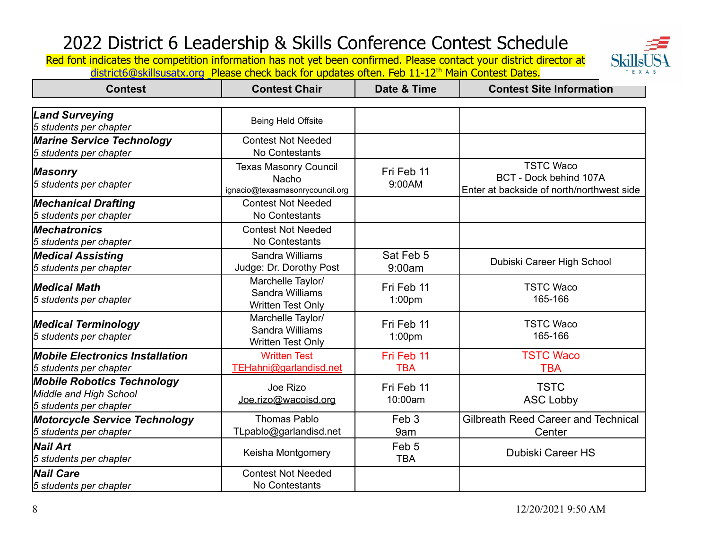

| <b>Contest</b>                                                                        | <b>Contest Chair</b>                                                     | Date & Time                      | <b>Contest Site Information</b>                                                         |
|---------------------------------------------------------------------------------------|--------------------------------------------------------------------------|----------------------------------|-----------------------------------------------------------------------------------------|
| <b>Land Surveying</b>                                                                 |                                                                          |                                  |                                                                                         |
| 5 students per chapter                                                                | Being Held Offsite                                                       |                                  |                                                                                         |
| <b>Marine Service Technology</b>                                                      | <b>Contest Not Needed</b>                                                |                                  |                                                                                         |
| 5 students per chapter                                                                | No Contestants                                                           |                                  |                                                                                         |
| <b>Masonry</b><br>5 students per chapter                                              | <b>Texas Masonry Council</b><br>Nacho<br>ignacio@texasmasonrycouncil.org | Fri Feb 11<br>9:00AM             | <b>TSTC Waco</b><br>BCT - Dock behind 107A<br>Enter at backside of north/northwest side |
| <b>Mechanical Drafting</b><br>5 students per chapter                                  | <b>Contest Not Needed</b><br>No Contestants                              |                                  |                                                                                         |
| <b>Mechatronics</b><br>5 students per chapter                                         | <b>Contest Not Needed</b><br>No Contestants                              |                                  |                                                                                         |
| <b>Medical Assisting</b><br>5 students per chapter                                    | Sandra Williams<br>Judge: Dr. Dorothy Post                               | Sat Feb 5<br>9:00am              | Dubiski Career High School                                                              |
| <b>Medical Math</b><br>5 students per chapter                                         | Marchelle Taylor/<br>Sandra Williams<br>Written Test Only                | Fri Feb 11<br>1:00pm             | <b>TSTC Waco</b><br>165-166                                                             |
| <b>Medical Terminology</b><br>5 students per chapter                                  | Marchelle Taylor/<br>Sandra Williams<br>Written Test Only                | Fri Feb 11<br>1:00 <sub>pm</sub> | <b>TSTC Waco</b><br>165-166                                                             |
| <b>Mobile Electronics Installation</b><br>5 students per chapter                      | <b>Written Test</b><br>TEHahni@garlandisd.net                            | Fri Feb 11<br><b>TBA</b>         | <b>TSTC Waco</b><br><b>TBA</b>                                                          |
| <b>Mobile Robotics Technology</b><br>Middle and High School<br>5 students per chapter | Joe Rizo<br>Joe.rizo@wacoisd.org                                         | Fri Feb 11<br>10:00am            | <b>TSTC</b><br><b>ASC Lobby</b>                                                         |
| <b>Motorcycle Service Technology</b><br>5 students per chapter                        | <b>Thomas Pablo</b><br>TLpablo@garlandisd.net                            | Feb <sub>3</sub><br>9am          | <b>Gilbreath Reed Career and Technical</b><br>Center                                    |
| Nail Art<br>5 students per chapter                                                    | Keisha Montgomery                                                        | Feb <sub>5</sub><br><b>TBA</b>   | <b>Dubiski Career HS</b>                                                                |
| <b>Nail Care</b><br>5 students per chapter                                            | <b>Contest Not Needed</b><br>No Contestants                              |                                  |                                                                                         |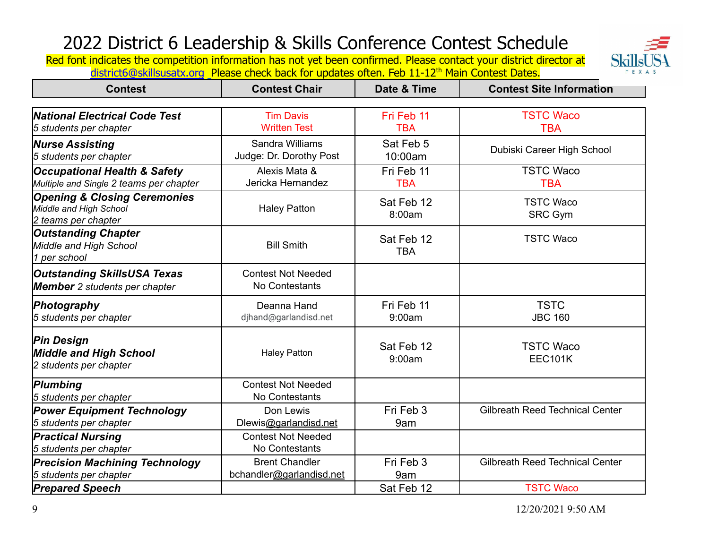

| <b>Contest</b>                                                                           | <b>Contest Chair</b>                              | Date & Time              | <b>Contest Site Information</b>        |
|------------------------------------------------------------------------------------------|---------------------------------------------------|--------------------------|----------------------------------------|
| <b>National Electrical Code Test</b><br>5 students per chapter                           | <b>Tim Davis</b><br><b>Written Test</b>           | Fri Feb 11<br><b>TBA</b> | <b>TSTC Waco</b><br><b>TBA</b>         |
| <b>Nurse Assisting</b><br>5 students per chapter                                         | Sandra Williams<br>Judge: Dr. Dorothy Post        | Sat Feb 5<br>10:00am     | Dubiski Career High School             |
| <b>Occupational Health &amp; Safety</b><br>Multiple and Single 2 teams per chapter       | Alexis Mata &<br>Jericka Hernandez                | Fri Feb 11<br><b>TBA</b> | <b>TSTC Waco</b><br><b>TBA</b>         |
| <b>Opening &amp; Closing Ceremonies</b><br>Middle and High School<br>2 teams per chapter | <b>Haley Patton</b>                               | Sat Feb 12<br>8:00am     | <b>TSTC Waco</b><br><b>SRC Gym</b>     |
| <b>Outstanding Chapter</b><br>Middle and High School<br>1 per school                     | <b>Bill Smith</b>                                 | Sat Feb 12<br><b>TBA</b> | <b>TSTC Waco</b>                       |
| <b>Outstanding SkillsUSA Texas</b><br><b>Member</b> 2 students per chapter               | <b>Contest Not Needed</b><br>No Contestants       |                          |                                        |
| Photography<br>5 students per chapter                                                    | Deanna Hand<br>djhand@garlandisd.net              | Fri Feb 11<br>9:00am     | <b>TSTC</b><br><b>JBC 160</b>          |
| <b>Pin Design</b><br><b>Middle and High School</b><br>2 students per chapter             | <b>Haley Patton</b>                               | Sat Feb 12<br>9:00am     | <b>TSTC Waco</b><br><b>EEC101K</b>     |
| Plumbing<br>5 students per chapter                                                       | <b>Contest Not Needed</b><br>No Contestants       |                          |                                        |
| <b>Power Equipment Technology</b><br>5 students per chapter                              | Don Lewis<br>Dlewis@garlandisd.net                | Fri Feb 3<br>9am         | <b>Gilbreath Reed Technical Center</b> |
| <b>Practical Nursing</b><br>5 students per chapter                                       | <b>Contest Not Needed</b><br>No Contestants       |                          |                                        |
| <b>Precision Machining Technology</b><br>5 students per chapter                          | <b>Brent Chandler</b><br>bchandler@garlandisd.net | Fri Feb 3<br>9am         | <b>Gilbreath Reed Technical Center</b> |
| <b>Prepared Speech</b>                                                                   |                                                   | Sat Feb 12               | <b>TSTC Waco</b>                       |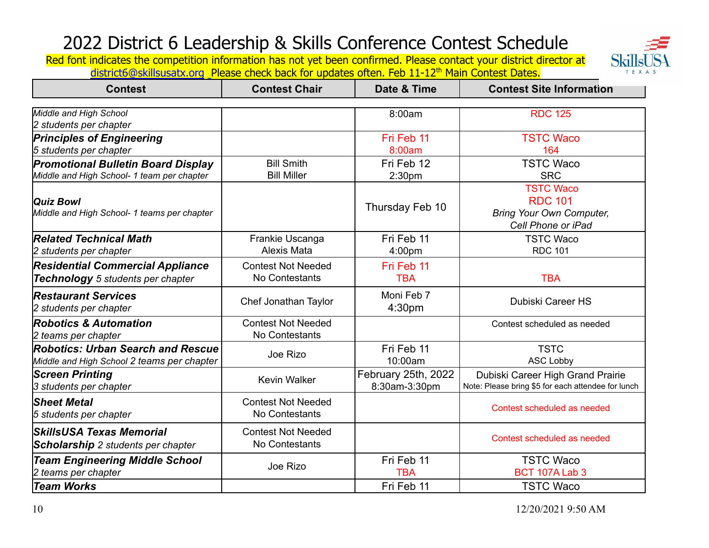Skills TEXAS

| <b>Contest</b>                                                                          | <b>Contest Chair</b>                        | Date & Time                          | <b>Contest Site Information</b>                                                             |
|-----------------------------------------------------------------------------------------|---------------------------------------------|--------------------------------------|---------------------------------------------------------------------------------------------|
| Middle and High School<br>2 students per chapter                                        |                                             | 8:00am                               | <b>RDC 125</b>                                                                              |
| <b>Principles of Engineering</b><br>5 students per chapter                              |                                             | Fri Feb 11<br>8:00am                 | <b>TSTC Waco</b><br>164                                                                     |
| <b>Promotional Bulletin Board Display</b><br>Middle and High School- 1 team per chapter | <b>Bill Smith</b><br><b>Bill Miller</b>     | Fri Feb 12<br>2:30 <sub>pm</sub>     | <b>TSTC Waco</b><br><b>SRC</b>                                                              |
| Quiz Bowl<br>Middle and High School- 1 teams per chapter                                |                                             | Thursday Feb 10                      | <b>TSTC Waco</b><br><b>RDC 101</b><br><b>Bring Your Own Computer,</b><br>Cell Phone or iPad |
| <b>Related Technical Math</b><br>2 students per chapter                                 | Frankie Uscanga<br>Alexis Mata              | Fri Feb 11<br>4:00pm                 | <b>TSTC Waco</b><br><b>RDC 101</b>                                                          |
| <b>Residential Commercial Appliance</b><br>Technology 5 students per chapter            | <b>Contest Not Needed</b><br>No Contestants | Fri Feb 11<br><b>TBA</b>             | <b>TBA</b>                                                                                  |
| <b>Restaurant Services</b><br>2 students per chapter                                    | Chef Jonathan Taylor                        | Moni Feb 7<br>4:30pm                 | Dubiski Career HS                                                                           |
| <b>Robotics &amp; Automation</b><br>2 teams per chapter                                 | <b>Contest Not Needed</b><br>No Contestants |                                      | Contest scheduled as needed                                                                 |
| <b>Robotics: Urban Search and Rescue</b><br>Middle and High School 2 teams per chapter  | Joe Rizo                                    | Fri Feb 11<br>10:00am                | <b>TSTC</b><br><b>ASC Lobby</b>                                                             |
| <b>Screen Printing</b><br>3 students per chapter                                        | <b>Kevin Walker</b>                         | February 25th, 2022<br>8:30am-3:30pm | Dubiski Career High Grand Prairie<br>Note: Please bring \$5 for each attendee for lunch     |
| <b>Sheet Metal</b><br>5 students per chapter                                            | <b>Contest Not Needed</b><br>No Contestants |                                      | Contest scheduled as needed                                                                 |
| SkillsUSA Texas Memorial<br><b>Scholarship</b> 2 students per chapter                   | <b>Contest Not Needed</b><br>No Contestants |                                      | Contest scheduled as needed                                                                 |
| <b>Team Engineering Middle School</b><br>2 teams per chapter                            | Joe Rizo                                    | Fri Feb 11<br><b>TBA</b>             | <b>TSTC Waco</b><br>BCT 107A Lab 3                                                          |
| <b>Team Works</b>                                                                       |                                             | Fri Feb 11                           | <b>TSTC Waco</b>                                                                            |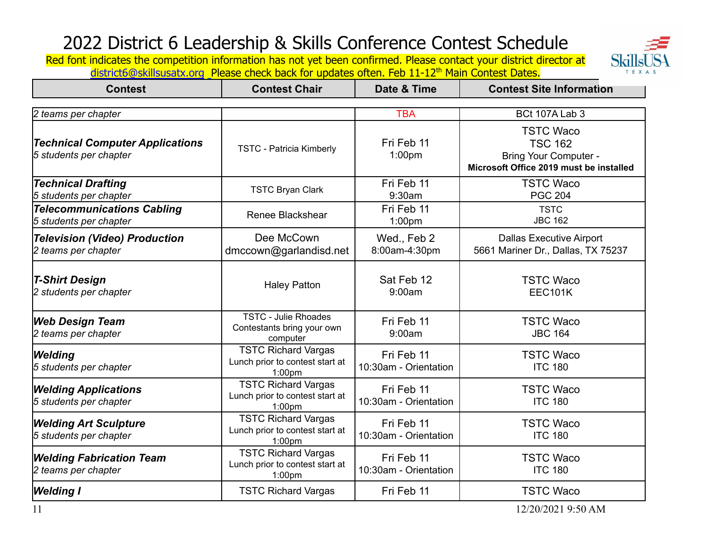**Skills** TEXAS

| <b>Contest</b>                                                   | <b>Contest Chair</b>                                                                | Date & Time                         | <b>Contest Site Information</b>                                                                               |
|------------------------------------------------------------------|-------------------------------------------------------------------------------------|-------------------------------------|---------------------------------------------------------------------------------------------------------------|
| 2 teams per chapter                                              |                                                                                     | <b>TBA</b>                          | BCt 107A Lab 3                                                                                                |
| <b>Technical Computer Applications</b><br>5 students per chapter | <b>TSTC - Patricia Kimberly</b>                                                     | Fri Feb 11<br>1:00 <sub>pm</sub>    | <b>TSTC Waco</b><br><b>TSC 162</b><br><b>Bring Your Computer -</b><br>Microsoft Office 2019 must be installed |
| <b>Technical Drafting</b><br>5 students per chapter              | <b>TSTC Bryan Clark</b>                                                             | Fri Feb 11<br>9:30am                | <b>TSTC Waco</b><br><b>PGC 204</b>                                                                            |
| <b>Telecommunications Cabling</b><br>5 students per chapter      | Renee Blackshear                                                                    | Fri Feb 11<br>1:00pm                | <b>TSTC</b><br><b>JBC 162</b>                                                                                 |
| <b>Television (Video) Production</b><br>2 teams per chapter      | Dee McCown<br>dmccown@garlandisd.net                                                | Wed., Feb 2<br>8:00am-4:30pm        | <b>Dallas Executive Airport</b><br>5661 Mariner Dr., Dallas, TX 75237                                         |
| <b>T-Shirt Design</b><br>2 students per chapter                  | <b>Haley Patton</b>                                                                 | Sat Feb 12<br>9:00am                | <b>TSTC Waco</b><br><b>EEC101K</b>                                                                            |
| <b>Web Design Team</b><br>2 teams per chapter                    | <b>TSTC - Julie Rhoades</b><br>Contestants bring your own<br>computer               | Fri Feb 11<br>9:00am                | <b>TSTC Waco</b><br><b>JBC 164</b>                                                                            |
| <b>Welding</b><br>5 students per chapter                         | <b>TSTC Richard Vargas</b><br>Lunch prior to contest start at<br>1:00 <sub>pm</sub> | Fri Feb 11<br>10:30am - Orientation | <b>TSTC Waco</b><br><b>ITC 180</b>                                                                            |
| <b>Welding Applications</b><br>5 students per chapter            | <b>TSTC Richard Vargas</b><br>Lunch prior to contest start at<br>1:00 <sub>pm</sub> | Fri Feb 11<br>10:30am - Orientation | <b>TSTC Waco</b><br><b>ITC 180</b>                                                                            |
| <b>Welding Art Sculpture</b><br>5 students per chapter           | <b>TSTC Richard Vargas</b><br>Lunch prior to contest start at<br>$1:00$ pm          | Fri Feb 11<br>10:30am - Orientation | <b>TSTC Waco</b><br><b>ITC 180</b>                                                                            |
| <b>Welding Fabrication Team</b><br>2 teams per chapter           | <b>TSTC Richard Vargas</b><br>Lunch prior to contest start at<br>1:00 <sub>pm</sub> | Fri Feb 11<br>10:30am - Orientation | <b>TSTC Waco</b><br><b>ITC 180</b>                                                                            |
| <b>Welding I</b>                                                 | <b>TSTC Richard Vargas</b>                                                          | Fri Feb 11                          | <b>TSTC Waco</b>                                                                                              |
| 11                                                               |                                                                                     |                                     | 12/20/2021 9:50 AM                                                                                            |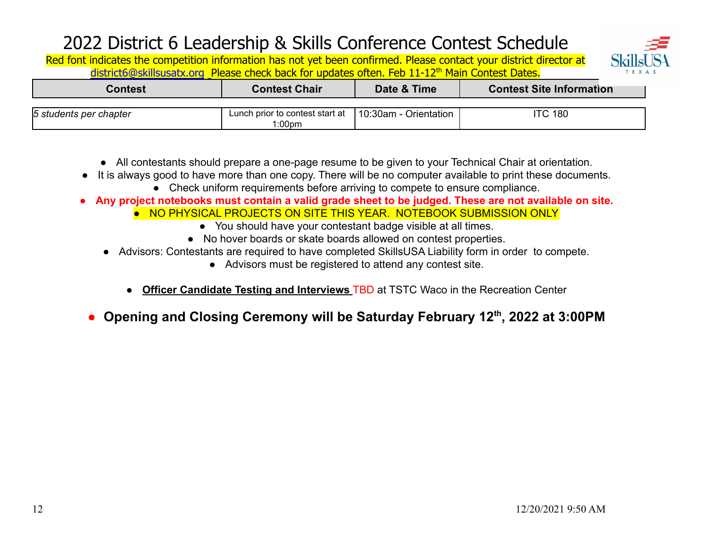

| Contest                | <b>Contest Chair</b>                                                   | Date & Time | <b>Contest Site Information</b> |
|------------------------|------------------------------------------------------------------------|-------------|---------------------------------|
|                        |                                                                        |             |                                 |
| 5 students per chapter | Lunch prior to contest start at $\left  \right $ 10:30am - Orientation |             | <b>ITC 180</b>                  |
|                        | l:00pm                                                                 |             |                                 |

- All contestants should prepare a one-page resume to be given to your Technical Chair at orientation.
- It is always good to have more than one copy. There will be no computer available to print these documents.
	- Check uniform requirements before arriving to compete to ensure compliance.
- **● Any project notebooks must contain a valid grade sheet to be judged. These are not available on site.**
	- NO PHYSICAL PROJECTS ON SITE THIS YEAR. NOTEBOOK SUBMISSION ONLY
		- You should have your contestant badge visible at all times.
		- No hover boards or skate boards allowed on contest properties.
	- Advisors: Contestants are required to have completed SkillsUSA Liability form in order to compete.
		- Advisors must be registered to attend any contest site.
		- **Officer Candidate Testing and Interviews TBD at TSTC Waco in the Recreation Center**
	- **● Opening and Closing Ceremony will be Saturday February 12th, 2022 at 3:00PM**